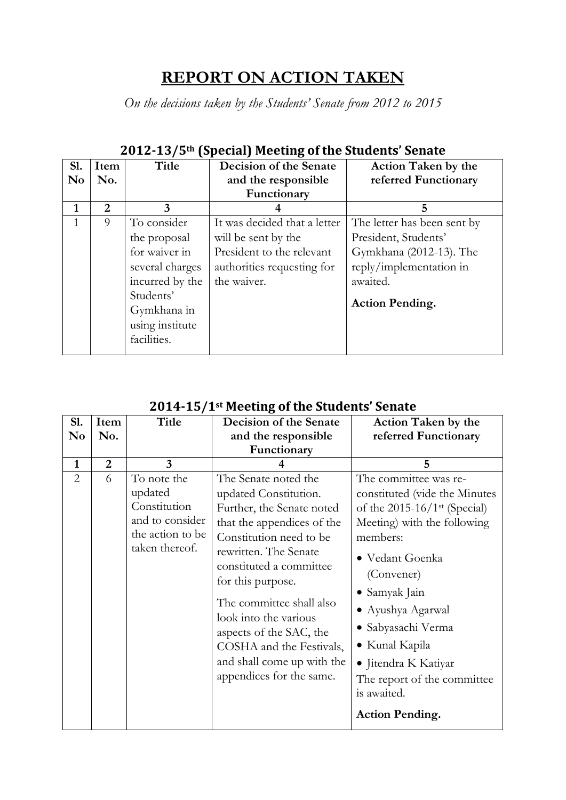# **REPORT ON ACTION TAKEN**

*On the decisions taken by the Students' Senate from 2012 to 2015*

| <b>S1.</b>     | Item | Title           | <b>Decision of the Senate</b> | <b>Action Taken by the</b>  |
|----------------|------|-----------------|-------------------------------|-----------------------------|
| N <sub>0</sub> | No.  |                 | and the responsible           | referred Functionary        |
|                |      |                 | Functionary                   |                             |
| 1              | 2    | 3               |                               | 5                           |
| 1              | 9    | To consider     | It was decided that a letter  | The letter has been sent by |
|                |      | the proposal    | will be sent by the           | President, Students'        |
|                |      | for waiver in   | President to the relevant     | Gymkhana (2012-13). The     |
|                |      | several charges | authorities requesting for    | reply/implementation in     |
|                |      | incurred by the | the waiver.                   | awaited.                    |
|                |      | Students'       |                               |                             |
|                |      | Gymkhana in     |                               | <b>Action Pending.</b>      |
|                |      | using institute |                               |                             |
|                |      | facilities.     |                               |                             |

#### **2012-13/5th (Special) Meeting of the Students' Senate**

| <b>S1.</b>     | Item           | Title                                                                                           | Decision of the Senate                                                                                                                                                                                                                                                                                                                                                             | <b>Action Taken by the</b>                                                                                                                                                                                                                                                                                                                                     |
|----------------|----------------|-------------------------------------------------------------------------------------------------|------------------------------------------------------------------------------------------------------------------------------------------------------------------------------------------------------------------------------------------------------------------------------------------------------------------------------------------------------------------------------------|----------------------------------------------------------------------------------------------------------------------------------------------------------------------------------------------------------------------------------------------------------------------------------------------------------------------------------------------------------------|
| No             | No.            |                                                                                                 | and the responsible                                                                                                                                                                                                                                                                                                                                                                | referred Functionary                                                                                                                                                                                                                                                                                                                                           |
|                |                |                                                                                                 | Functionary                                                                                                                                                                                                                                                                                                                                                                        |                                                                                                                                                                                                                                                                                                                                                                |
| $\mathbf{1}$   | $\overline{2}$ | 3                                                                                               |                                                                                                                                                                                                                                                                                                                                                                                    | 5                                                                                                                                                                                                                                                                                                                                                              |
| $\overline{2}$ | 6              | To note the<br>updated<br>Constitution<br>and to consider<br>the action to be<br>taken thereof. | The Senate noted the<br>updated Constitution.<br>Further, the Senate noted<br>that the appendices of the<br>Constitution need to be<br>rewritten. The Senate<br>constituted a committee<br>for this purpose.<br>The committee shall also<br>look into the various<br>aspects of the SAC, the<br>COSHA and the Festivals,<br>and shall come up with the<br>appendices for the same. | The committee was re-<br>constituted (vide the Minutes<br>of the $2015-16/1$ <sup>st</sup> (Special)<br>Meeting) with the following<br>members:<br>· Vedant Goenka<br>(Convener)<br>• Samyak Jain<br>• Ayushya Agarwal<br>· Sabyasachi Verma<br>• Kunal Kapila<br>• Jitendra K Katiyar<br>The report of the committee<br>is awaited.<br><b>Action Pending.</b> |

#### **2014-15/1st Meeting of the Students' Senate**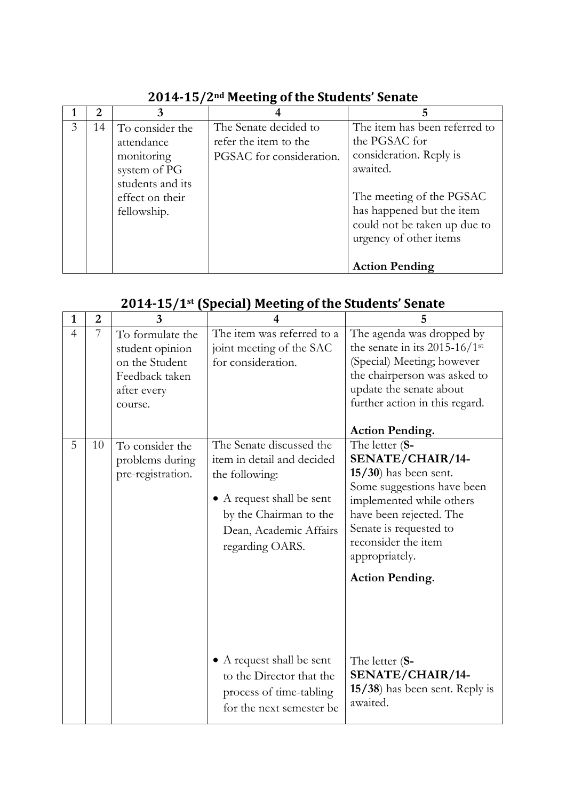|   | 2  | 3                |                          |                               |
|---|----|------------------|--------------------------|-------------------------------|
| 3 | 14 | To consider the  | The Senate decided to    | The item has been referred to |
|   |    | attendance       | refer the item to the    | the PGSAC for                 |
|   |    | monitoring       | PGSAC for consideration. | consideration. Reply is       |
|   |    | system of PG     |                          | awaited.                      |
|   |    | students and its |                          |                               |
|   |    | effect on their  |                          | The meeting of the PGSAC      |
|   |    | fellowship.      |                          | has happened but the item     |
|   |    |                  |                          | could not be taken up due to  |
|   |    |                  |                          | urgency of other items        |
|   |    |                  |                          |                               |
|   |    |                  |                          | <b>Action Pending</b>         |

## **2014-15/2nd Meeting of the Students' Senate**

#### **2014-15/1st (Special) Meeting of the Students' Senate**

| 1              | $\overline{2}$ | 3                                                                                                 | $\boldsymbol{4}$                                                                                                                                                                                          | 5                                                                                                                                                                                                                                                                                            |
|----------------|----------------|---------------------------------------------------------------------------------------------------|-----------------------------------------------------------------------------------------------------------------------------------------------------------------------------------------------------------|----------------------------------------------------------------------------------------------------------------------------------------------------------------------------------------------------------------------------------------------------------------------------------------------|
| $\overline{4}$ | 7              | To formulate the<br>student opinion<br>on the Student<br>Feedback taken<br>after every<br>course. | The item was referred to a<br>joint meeting of the SAC<br>for consideration.                                                                                                                              | The agenda was dropped by<br>the senate in its $2015-16/1$ <sup>st</sup><br>(Special) Meeting; however<br>the chairperson was asked to<br>update the senate about<br>further action in this regard.                                                                                          |
| 5              | 10             | To consider the<br>problems during<br>pre-registration.                                           | The Senate discussed the<br>item in detail and decided<br>the following:<br>• A request shall be sent<br>by the Chairman to the<br>Dean, Academic Affairs<br>regarding OARS.<br>• A request shall be sent | <b>Action Pending.</b><br>The letter (S-<br>SENATE/CHAIR/14-<br>$15/30$ ) has been sent.<br>Some suggestions have been<br>implemented while others<br>have been rejected. The<br>Senate is requested to<br>reconsider the item<br>appropriately.<br><b>Action Pending.</b><br>The letter (S- |
|                |                |                                                                                                   | to the Director that the<br>process of time-tabling<br>for the next semester be                                                                                                                           | SENATE/CHAIR/14-<br>15/38) has been sent. Reply is<br>awaited.                                                                                                                                                                                                                               |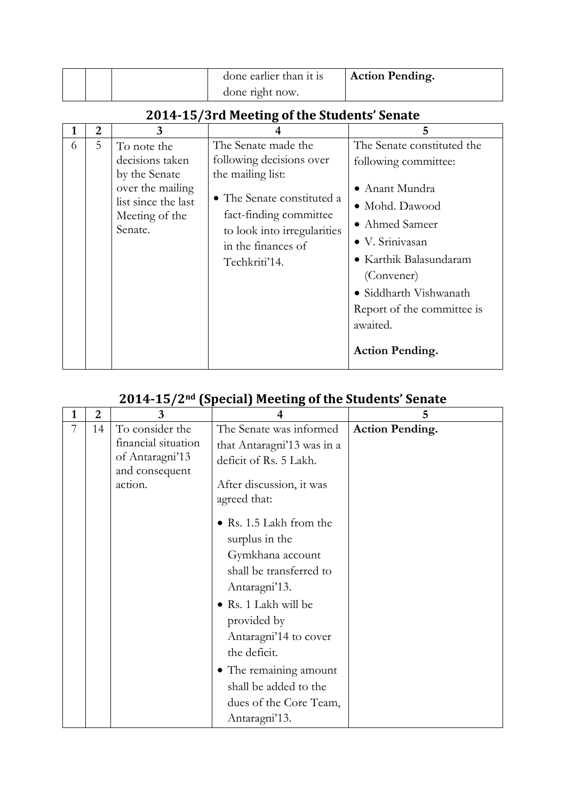|  | done earlier than it is | <b>Action Pending.</b> |
|--|-------------------------|------------------------|
|  | done right now.         |                        |

# **2014-15/3rd Meeting of the Students' Senate**

|   | $\overline{2}$ | 3                                                                                                                       | 4                                                                                                                                                                                                  | 5                                                                                                                                                                                                                                                                         |
|---|----------------|-------------------------------------------------------------------------------------------------------------------------|----------------------------------------------------------------------------------------------------------------------------------------------------------------------------------------------------|---------------------------------------------------------------------------------------------------------------------------------------------------------------------------------------------------------------------------------------------------------------------------|
| 6 | 5              | To note the<br>decisions taken<br>by the Senate<br>over the mailing<br>list since the last<br>Meeting of the<br>Senate. | The Senate made the<br>following decisions over<br>the mailing list:<br>• The Senate constituted a<br>fact-finding committee<br>to look into irregularities<br>in the finances of<br>Techkriti'14. | The Senate constituted the<br>following committee:<br>$\bullet$ Anant Mundra<br>• Mohd. Dawood<br>• Ahmed Sameer<br>· V. Srinivasan<br>• Karthik Balasundaram<br>(Convener)<br>• Siddharth Vishwanath<br>Report of the committee is<br>awaited.<br><b>Action Pending.</b> |

## **2014-15/2nd (Special) Meeting of the Students' Senate**

| 1 | $\overline{2}$ | 3                                 | Δ                          | 5                      |
|---|----------------|-----------------------------------|----------------------------|------------------------|
| 7 | 14             | To consider the                   | The Senate was informed    | <b>Action Pending.</b> |
|   |                | financial situation               | that Antaragni'13 was in a |                        |
|   |                | of Antaragni'13<br>and consequent | deficit of Rs. 5 Lakh.     |                        |
|   |                | action.                           | After discussion, it was   |                        |
|   |                |                                   | agreed that:               |                        |
|   |                |                                   | • Rs. 1.5 Lakh from the    |                        |
|   |                |                                   | surplus in the             |                        |
|   |                |                                   | Gymkhana account           |                        |
|   |                |                                   | shall be transferred to    |                        |
|   |                |                                   | Antaragni'13.              |                        |
|   |                |                                   | · Rs. 1 Lakh will be       |                        |
|   |                |                                   | provided by                |                        |
|   |                |                                   | Antaragni'14 to cover      |                        |
|   |                |                                   | the deficit.               |                        |
|   |                |                                   | • The remaining amount     |                        |
|   |                |                                   | shall be added to the      |                        |
|   |                |                                   | dues of the Core Team,     |                        |
|   |                |                                   | Antaragni'13.              |                        |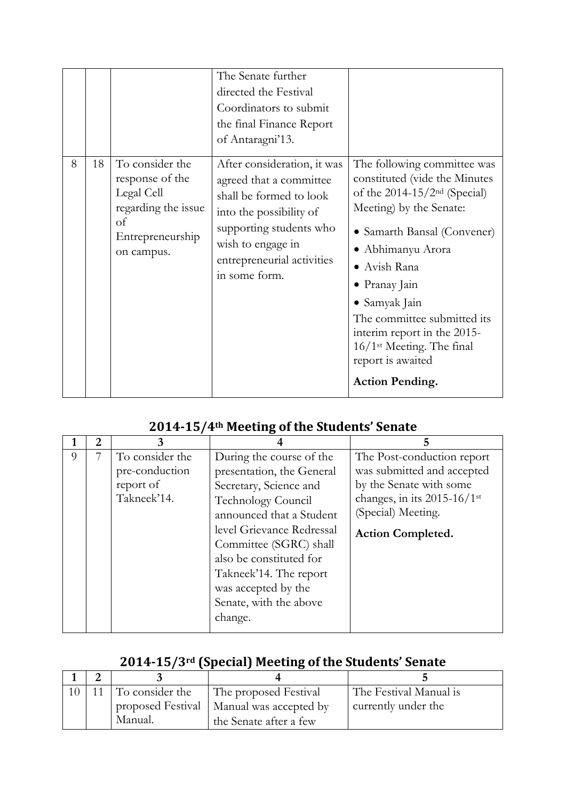|   |    |                                                                                                                 | The Senate further<br>directed the Festival<br>Coordinators to submit<br>the final Finance Report<br>of Antaragni'13.                                                                                       |                                                                                                                                                                                                                                                                                                                                                                                                 |
|---|----|-----------------------------------------------------------------------------------------------------------------|-------------------------------------------------------------------------------------------------------------------------------------------------------------------------------------------------------------|-------------------------------------------------------------------------------------------------------------------------------------------------------------------------------------------------------------------------------------------------------------------------------------------------------------------------------------------------------------------------------------------------|
| 8 | 18 | To consider the<br>response of the<br>Legal Cell<br>regarding the issue<br>of<br>Entrepreneurship<br>on campus. | After consideration, it was<br>agreed that a committee<br>shall be formed to look<br>into the possibility of<br>supporting students who<br>wish to engage in<br>entrepreneurial activities<br>in some form. | The following committee was<br>constituted (vide the Minutes<br>of the $2014-15/2nd$ (Special)<br>Meeting) by the Senate:<br>• Samarth Bansal (Convener)<br>• Abhimanyu Arora<br>• Avish Rana<br>$\bullet$ Pranay Jain<br>• Samyak Jain<br>The committee submitted its<br>interim report in the 2015-<br>$16/1$ <sup>st</sup> Meeting. The final<br>report is awaited<br><b>Action Pending.</b> |

# **2014-15/4th Meeting of the Students' Senate**

|   | 2 | 3                                 |                                                                                                                                                                                             |                                                                                                          |
|---|---|-----------------------------------|---------------------------------------------------------------------------------------------------------------------------------------------------------------------------------------------|----------------------------------------------------------------------------------------------------------|
| 9 |   | To consider the<br>pre-conduction | During the course of the<br>presentation, the General                                                                                                                                       | The Post-conduction report<br>was submitted and accepted                                                 |
|   |   | report of<br>Takneek'14.          | Secretary, Science and<br><b>Technology Council</b><br>announced that a Student<br>level Grievance Redressal<br>Committee (SGRC) shall<br>also be constituted for<br>Takneek'14. The report | by the Senate with some<br>changes, in its 2015-16/1st<br>(Special) Meeting.<br><b>Action Completed.</b> |
|   |   |                                   | was accepted by the<br>Senate, with the above<br>change.                                                                                                                                    |                                                                                                          |

# **2014-15/3rd (Special) Meeting of the Students' Senate**

|  | 11 To consider the | The proposed Festival                      | The Festival Manual is |
|--|--------------------|--------------------------------------------|------------------------|
|  |                    | proposed Festival   Manual was accepted by | currently under the    |
|  | Manual.            | the Senate after a few                     |                        |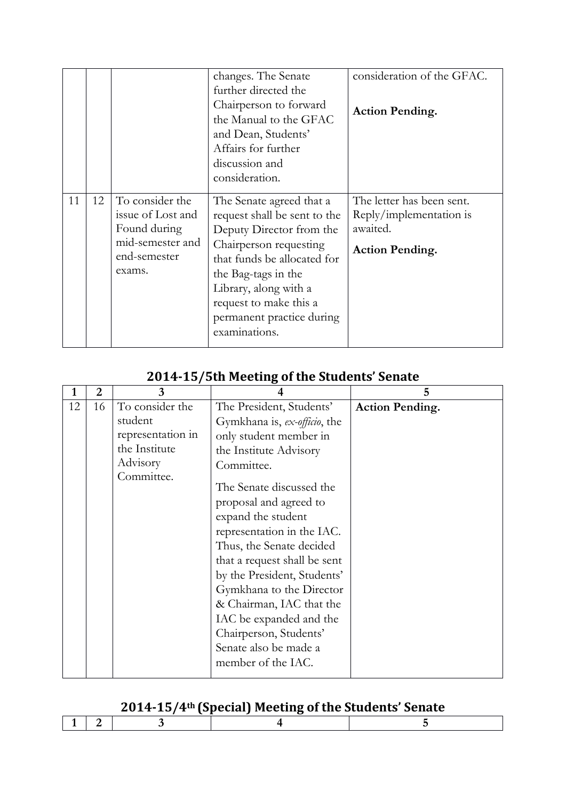|    |    |                                                                                                    | changes. The Senate<br>further directed the<br>Chairperson to forward<br>the Manual to the GFAC<br>and Dean, Students'<br>Affairs for further<br>discussion and<br>consideration.                                                                                     | consideration of the GFAC.<br><b>Action Pending.</b>                                       |
|----|----|----------------------------------------------------------------------------------------------------|-----------------------------------------------------------------------------------------------------------------------------------------------------------------------------------------------------------------------------------------------------------------------|--------------------------------------------------------------------------------------------|
| 11 | 12 | To consider the<br>issue of Lost and<br>Found during<br>mid-semester and<br>end-semester<br>exams. | The Senate agreed that a<br>request shall be sent to the<br>Deputy Director from the<br>Chairperson requesting<br>that funds be allocated for<br>the Bag-tags in the<br>Library, along with a<br>request to make this a<br>permanent practice during<br>examinations. | The letter has been sent.<br>Reply/implementation is<br>awaited.<br><b>Action Pending.</b> |

#### **2014-15/5th Meeting of the Students' Senate**

| 3                 |                                                                                                                                                                                                                                                                                                                                         | 5                      |
|-------------------|-----------------------------------------------------------------------------------------------------------------------------------------------------------------------------------------------------------------------------------------------------------------------------------------------------------------------------------------|------------------------|
| To consider the   | The President, Students'                                                                                                                                                                                                                                                                                                                | <b>Action Pending.</b> |
| student           | Gymkhana is, ex-officio, the                                                                                                                                                                                                                                                                                                            |                        |
| representation in | only student member in                                                                                                                                                                                                                                                                                                                  |                        |
| the Institute     | the Institute Advisory                                                                                                                                                                                                                                                                                                                  |                        |
| Advisory          | Committee.                                                                                                                                                                                                                                                                                                                              |                        |
| Committee.        | The Senate discussed the<br>proposal and agreed to<br>expand the student<br>representation in the IAC.<br>Thus, the Senate decided<br>that a request shall be sent<br>by the President, Students'<br>Gymkhana to the Director<br>& Chairman, IAC that the<br>IAC be expanded and the<br>Chairperson, Students'<br>Senate also be made a |                        |
|                   |                                                                                                                                                                                                                                                                                                                                         | member of the IAC.     |

## **2014-15/4th (Special) Meeting of the Students' Senate**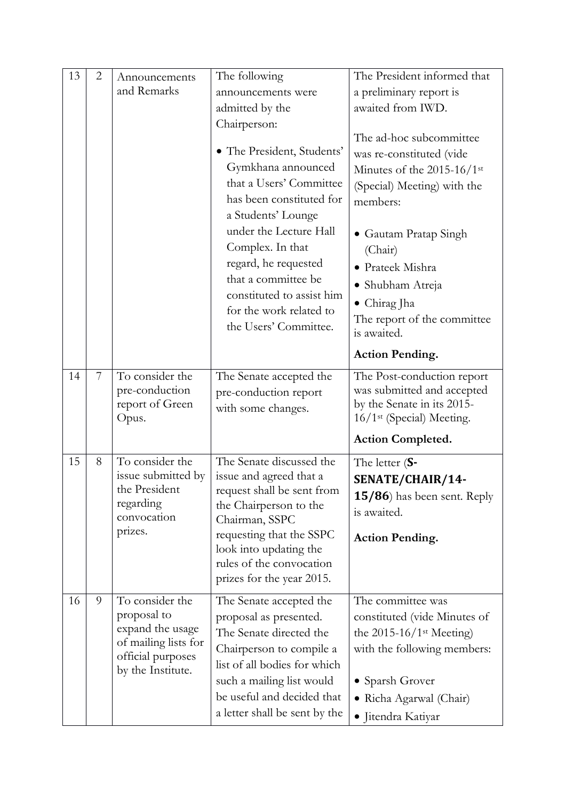| 13 | $\overline{2}$ | Announcements                                                                                                        | The following                                                                                                                                                                                                                                                                                                               | The President informed that                                                                                                                                                                                                                                            |
|----|----------------|----------------------------------------------------------------------------------------------------------------------|-----------------------------------------------------------------------------------------------------------------------------------------------------------------------------------------------------------------------------------------------------------------------------------------------------------------------------|------------------------------------------------------------------------------------------------------------------------------------------------------------------------------------------------------------------------------------------------------------------------|
|    |                | and Remarks                                                                                                          | announcements were                                                                                                                                                                                                                                                                                                          | a preliminary report is                                                                                                                                                                                                                                                |
|    |                |                                                                                                                      | admitted by the                                                                                                                                                                                                                                                                                                             | awaited from IWD.                                                                                                                                                                                                                                                      |
|    |                |                                                                                                                      | Chairperson:<br>• The President, Students'<br>Gymkhana announced<br>that a Users' Committee<br>has been constituted for<br>a Students' Lounge<br>under the Lecture Hall<br>Complex. In that<br>regard, he requested<br>that a committee be<br>constituted to assist him<br>for the work related to<br>the Users' Committee. | The ad-hoc subcommittee<br>was re-constituted (vide<br>Minutes of the 2015-16/1st<br>(Special) Meeting) with the<br>members:<br>• Gautam Pratap Singh<br>(Chair)<br>• Prateek Mishra<br>• Shubham Atreja<br>• Chirag Jha<br>The report of the committee<br>is awaited. |
|    |                |                                                                                                                      |                                                                                                                                                                                                                                                                                                                             | <b>Action Pending.</b>                                                                                                                                                                                                                                                 |
|    |                |                                                                                                                      |                                                                                                                                                                                                                                                                                                                             |                                                                                                                                                                                                                                                                        |
| 14 | 7              | To consider the<br>pre-conduction<br>report of Green<br>Opus.                                                        | The Senate accepted the<br>pre-conduction report<br>with some changes.                                                                                                                                                                                                                                                      | The Post-conduction report<br>was submitted and accepted<br>by the Senate in its 2015-<br>16/1 <sup>st</sup> (Special) Meeting.                                                                                                                                        |
|    |                |                                                                                                                      |                                                                                                                                                                                                                                                                                                                             | <b>Action Completed.</b>                                                                                                                                                                                                                                               |
| 15 | 8              | To consider the<br>issue submitted by<br>the President<br>regarding<br>convocation<br>prizes.                        | The Senate discussed the<br>issue and agreed that a<br>request shall be sent from<br>the Chairperson to the<br>Chairman, SSPC<br>requesting that the SSPC<br>look into updating the<br>rules of the convocation<br>prizes for the year 2015.                                                                                | The letter $(S-$<br>SENATE/CHAIR/14-<br>15/86) has been sent. Reply<br>is awaited.<br><b>Action Pending.</b>                                                                                                                                                           |
| 16 | 9              | To consider the<br>proposal to<br>expand the usage<br>of mailing lists for<br>official purposes<br>by the Institute. | The Senate accepted the<br>proposal as presented.<br>The Senate directed the<br>Chairperson to compile a<br>list of all bodies for which<br>such a mailing list would<br>be useful and decided that<br>a letter shall be sent by the                                                                                        | The committee was<br>constituted (vide Minutes of<br>the $2015-16/1$ <sup>st</sup> Meeting)<br>with the following members:<br>• Sparsh Grover<br>· Richa Agarwal (Chair)<br>· Jitendra Katiyar                                                                         |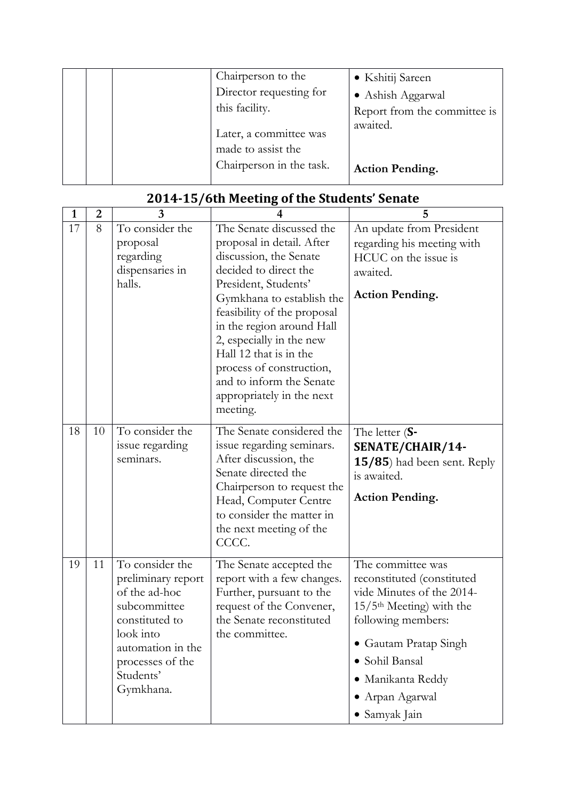| Chairperson to the                           | • Kshitij Sareen             |
|----------------------------------------------|------------------------------|
| Director requesting for                      | • Ashish Aggarwal            |
| this facility.                               | Report from the committee is |
| Later, a committee was<br>made to assist the | awaited.                     |
| Chairperson in the task.                     | <b>Action Pending.</b>       |

| $\mathbf{1}$ | $\overline{2}$ | 3                                                                                                                                                                        | 4                                                                                                                                                                                                                                                                                                                                                                                | 5                                                                                                                                                                                                                                                |
|--------------|----------------|--------------------------------------------------------------------------------------------------------------------------------------------------------------------------|----------------------------------------------------------------------------------------------------------------------------------------------------------------------------------------------------------------------------------------------------------------------------------------------------------------------------------------------------------------------------------|--------------------------------------------------------------------------------------------------------------------------------------------------------------------------------------------------------------------------------------------------|
| 17           | 8              | To consider the<br>proposal<br>regarding<br>dispensaries in<br>halls.                                                                                                    | The Senate discussed the<br>proposal in detail. After<br>discussion, the Senate<br>decided to direct the<br>President, Students'<br>Gymkhana to establish the<br>feasibility of the proposal<br>in the region around Hall<br>2, especially in the new<br>Hall 12 that is in the<br>process of construction,<br>and to inform the Senate<br>appropriately in the next<br>meeting. | An update from President<br>regarding his meeting with<br>HCUC on the issue is<br>awaited.<br><b>Action Pending.</b>                                                                                                                             |
| 18           | 10             | To consider the<br>issue regarding<br>seminars.                                                                                                                          | The Senate considered the<br>issue regarding seminars.<br>After discussion, the<br>Senate directed the<br>Chairperson to request the<br>Head, Computer Centre<br>to consider the matter in<br>the next meeting of the<br>CCCC.                                                                                                                                                   | The letter $(S-$<br>SENATE/CHAIR/14-<br>15/85) had been sent. Reply<br>is awaited.<br><b>Action Pending.</b>                                                                                                                                     |
| 19           | 11             | To consider the<br>preliminary report<br>of the ad-hoc<br>subcommittee<br>constituted to<br>look into<br>automation in the<br>processes of the<br>Students'<br>Gymkhana. | The Senate accepted the<br>report with a few changes.<br>Further, pursuant to the<br>request of the Convener,<br>the Senate reconstituted<br>the committee.                                                                                                                                                                                                                      | The committee was<br>reconstituted (constituted<br>vide Minutes of the 2014-<br>$15/5$ <sup>th</sup> Meeting) with the<br>following members:<br>• Gautam Pratap Singh<br>· Sohil Bansal<br>· Manikanta Reddy<br>• Arpan Agarwal<br>• Samyak Jain |

## **2014-15/6th Meeting of the Students' Senate**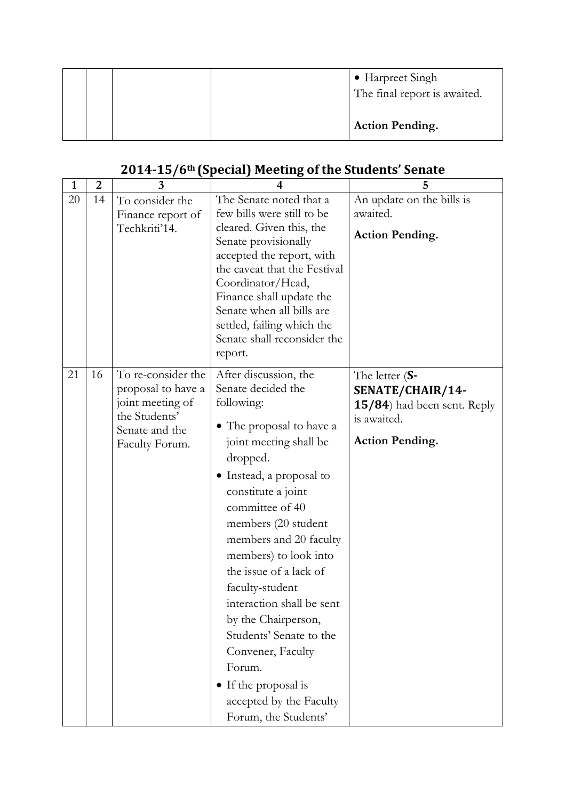|  |  | • Harpreet Singh<br>The final report is awaited. |
|--|--|--------------------------------------------------|
|  |  | <b>Action Pending.</b>                           |

## **2014-15/6th (Special) Meeting of the Students' Senate**

| $\mathbf{1}$ | $\overline{2}$ | 3                                                                                                                 | 4                                                                                                                                                                                                                                                                                                                                                                                                                                                                                                                | 5                                                                                                            |
|--------------|----------------|-------------------------------------------------------------------------------------------------------------------|------------------------------------------------------------------------------------------------------------------------------------------------------------------------------------------------------------------------------------------------------------------------------------------------------------------------------------------------------------------------------------------------------------------------------------------------------------------------------------------------------------------|--------------------------------------------------------------------------------------------------------------|
| 20           | 14             | To consider the<br>Finance report of<br>Techkriti'14.                                                             | The Senate noted that a<br>few bills were still to be<br>cleared. Given this, the<br>Senate provisionally<br>accepted the report, with<br>the caveat that the Festival<br>Coordinator/Head,<br>Finance shall update the<br>Senate when all bills are<br>settled, failing which the<br>Senate shall reconsider the<br>report.                                                                                                                                                                                     | An update on the bills is<br>awaited.<br><b>Action Pending.</b>                                              |
| 21           | 16             | To re-consider the<br>proposal to have a<br>joint meeting of<br>the Students'<br>Senate and the<br>Faculty Forum. | After discussion, the<br>Senate decided the<br>following:<br>• The proposal to have a<br>joint meeting shall be<br>dropped.<br>• Instead, a proposal to<br>constitute a joint<br>committee of 40<br>members (20 student<br>members and 20 faculty<br>members) to look into<br>the issue of a lack of<br>faculty-student<br>interaction shall be sent<br>by the Chairperson,<br>Students' Senate to the<br>Convener, Faculty<br>Forum.<br>• If the proposal is<br>accepted by the Faculty<br>Forum, the Students' | The letter $(S-$<br>SENATE/CHAIR/14-<br>15/84) had been sent. Reply<br>is awaited.<br><b>Action Pending.</b> |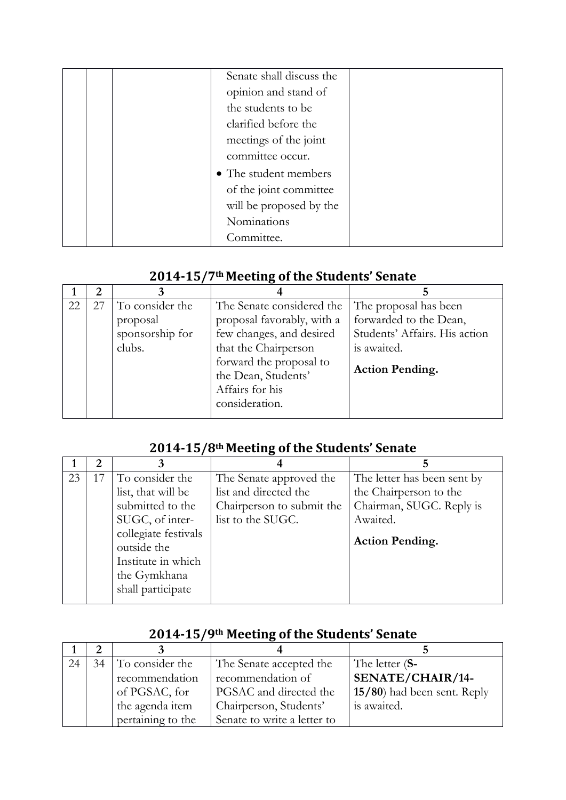|  | Senate shall discuss the |  |
|--|--------------------------|--|
|  | opinion and stand of     |  |
|  | the students to be       |  |
|  | clarified before the     |  |
|  | meetings of the joint    |  |
|  | committee occur.         |  |
|  | • The student members    |  |
|  | of the joint committee   |  |
|  | will be proposed by the  |  |
|  | Nominations              |  |
|  | Committee.               |  |

## **2014-15/7th Meeting of the Students' Senate**

| 22 | 27 | To consider the | The Senate considered the  | The proposal has been         |
|----|----|-----------------|----------------------------|-------------------------------|
|    |    | proposal        | proposal favorably, with a | forwarded to the Dean,        |
|    |    | sponsorship for | few changes, and desired   | Students' Affairs. His action |
|    |    | clubs.          | that the Chairperson       | is awaited.                   |
|    |    |                 | forward the proposal to    |                               |
|    |    |                 | the Dean, Students'        | <b>Action Pending.</b>        |
|    |    |                 | Affairs for his            |                               |
|    |    |                 | consideration.             |                               |
|    |    |                 |                            |                               |

## **2014-15/8th Meeting of the Students' Senate**

| 23 | To consider the<br>list, that will be                                                                                                 | The Senate approved the<br>list and directed the | The letter has been sent by<br>the Chairperson to the          |
|----|---------------------------------------------------------------------------------------------------------------------------------------|--------------------------------------------------|----------------------------------------------------------------|
|    | submitted to the<br>SUGC, of inter-<br>collegiate festivals<br>outside the<br>Institute in which<br>the Gymkhana<br>shall participate | Chairperson to submit the<br>list to the SUGC.   | Chairman, SUGC. Reply is<br>Awaited.<br><b>Action Pending.</b> |

| 24 | 34 | To consider the   | The Senate accepted the     | The letter (S-                 |  |  |
|----|----|-------------------|-----------------------------|--------------------------------|--|--|
|    |    | recommendation    | recommendation of           | SENATE/CHAIR/14-               |  |  |
|    |    | of PGSAC, for     | PGSAC and directed the      | $15/80$ ) had been sent. Reply |  |  |
|    |    | the agenda item   | Chairperson, Students'      | is awaited.                    |  |  |
|    |    | pertaining to the | Senate to write a letter to |                                |  |  |

#### **2014-15/9th Meeting of the Students' Senate**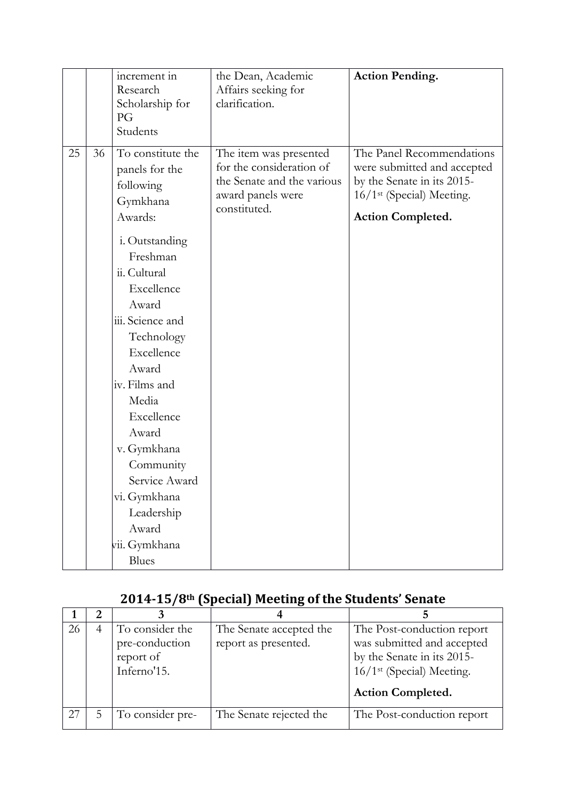|    |    | increment in<br>Research<br>Scholarship for<br>PG<br>Students                                                                                                                                                                                                                                                                                                        | the Dean, Academic<br>Affairs seeking for<br>clarification.                                                           | <b>Action Pending.</b>                                                                                                                                      |
|----|----|----------------------------------------------------------------------------------------------------------------------------------------------------------------------------------------------------------------------------------------------------------------------------------------------------------------------------------------------------------------------|-----------------------------------------------------------------------------------------------------------------------|-------------------------------------------------------------------------------------------------------------------------------------------------------------|
| 25 | 36 | To constitute the<br>panels for the<br>following<br>Gymkhana<br>Awards:<br>i. Outstanding<br>Freshman<br>ii. Cultural<br>Excellence<br>Award<br>iii. Science and<br>Technology<br>Excellence<br>Award<br>iv. Films and<br>Media<br>Excellence<br>Award<br>v. Gymkhana<br>Community<br>Service Award<br>vi. Gymkhana<br>Leadership<br>Award<br>vii. Gymkhana<br>Blues | The item was presented<br>for the consideration of<br>the Senate and the various<br>award panels were<br>constituted. | The Panel Recommendations<br>were submitted and accepted<br>by the Senate in its 2015-<br>16/1 <sup>st</sup> (Special) Meeting.<br><b>Action Completed.</b> |

# **2014-15/8th (Special) Meeting of the Students' Senate**

| 26 | To consider the  | The Senate accepted the | The Post-conduction report            |
|----|------------------|-------------------------|---------------------------------------|
|    | pre-conduction   | report as presented.    | was submitted and accepted            |
|    | report of        |                         | by the Senate in its 2015-            |
|    | Inferno'15.      |                         | 16/1 <sup>st</sup> (Special) Meeting. |
|    |                  |                         | <b>Action Completed.</b>              |
| 27 | To consider pre- | The Senate rejected the | The Post-conduction report            |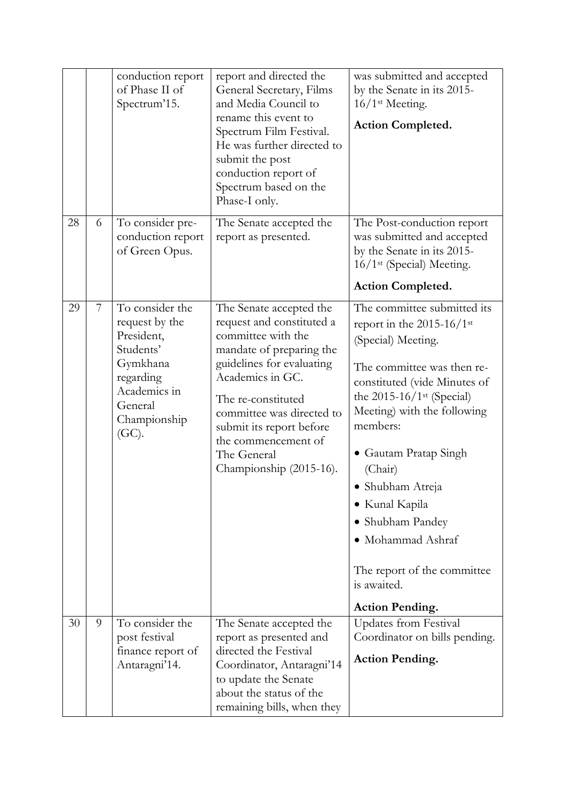|    |   | conduction report<br>of Phase II of<br>Spectrum'15.                                                                                          | report and directed the<br>General Secretary, Films<br>and Media Council to<br>rename this event to<br>Spectrum Film Festival.<br>He was further directed to<br>submit the post<br>conduction report of<br>Spectrum based on the<br>Phase-I only.                                                       | was submitted and accepted<br>by the Senate in its 2015-<br>16/1 <sup>st</sup> Meeting.<br>Action Completed.                                                                                                                                                                                                                                                                                                                  |
|----|---|----------------------------------------------------------------------------------------------------------------------------------------------|---------------------------------------------------------------------------------------------------------------------------------------------------------------------------------------------------------------------------------------------------------------------------------------------------------|-------------------------------------------------------------------------------------------------------------------------------------------------------------------------------------------------------------------------------------------------------------------------------------------------------------------------------------------------------------------------------------------------------------------------------|
| 28 | 6 | To consider pre-<br>conduction report<br>of Green Opus.                                                                                      | The Senate accepted the<br>report as presented.                                                                                                                                                                                                                                                         | The Post-conduction report<br>was submitted and accepted<br>by the Senate in its 2015-<br>16/1 <sup>st</sup> (Special) Meeting.<br><b>Action Completed.</b>                                                                                                                                                                                                                                                                   |
| 29 | 7 | To consider the<br>request by the<br>President,<br>Students'<br>Gymkhana<br>regarding<br>Academics in<br>General<br>Championship<br>$(GC)$ . | The Senate accepted the<br>request and constituted a<br>committee with the<br>mandate of preparing the<br>guidelines for evaluating<br>Academics in GC.<br>The re-constituted<br>committee was directed to<br>submit its report before<br>the commencement of<br>The General<br>Championship (2015-16). | The committee submitted its<br>report in the 2015-16/1st<br>(Special) Meeting.<br>The committee was then re-<br>constituted (vide Minutes of<br>the $2015-16/1$ <sup>st</sup> (Special)<br>Meeting) with the following<br>members:<br>• Gautam Pratap Singh<br>(Chair)<br>· Shubham Atreja<br>• Kunal Kapila<br>• Shubham Pandey<br>• Mohammad Ashraf<br>The report of the committee<br>is awaited.<br><b>Action Pending.</b> |
| 30 | 9 | To consider the<br>post festival<br>finance report of<br>Antaragni'14.                                                                       | The Senate accepted the<br>report as presented and<br>directed the Festival<br>Coordinator, Antaragni'14<br>to update the Senate<br>about the status of the<br>remaining bills, when they                                                                                                               | <b>Updates from Festival</b><br>Coordinator on bills pending.<br><b>Action Pending.</b>                                                                                                                                                                                                                                                                                                                                       |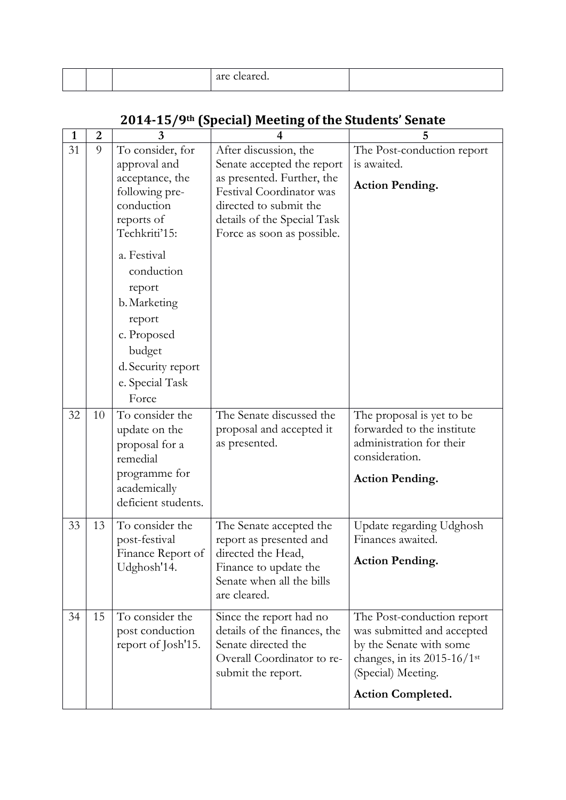| $\mathbf{1}$ | $\overline{2}$ | 3                                  |                                                        | 5                                                               |
|--------------|----------------|------------------------------------|--------------------------------------------------------|-----------------------------------------------------------------|
| 31           | 9              | To consider, for                   | After discussion, the                                  | The Post-conduction report                                      |
|              |                | approval and                       | Senate accepted the report                             | is awaited.                                                     |
|              |                | acceptance, the<br>following pre-  | as presented. Further, the<br>Festival Coordinator was | <b>Action Pending.</b>                                          |
|              |                | conduction                         | directed to submit the                                 |                                                                 |
|              |                | reports of                         | details of the Special Task                            |                                                                 |
|              |                | Techkriti'15:                      | Force as soon as possible.                             |                                                                 |
|              |                | a. Festival                        |                                                        |                                                                 |
|              |                | conduction                         |                                                        |                                                                 |
|              |                | report                             |                                                        |                                                                 |
|              |                | b. Marketing                       |                                                        |                                                                 |
|              |                | report                             |                                                        |                                                                 |
|              |                | c. Proposed                        |                                                        |                                                                 |
|              |                | budget                             |                                                        |                                                                 |
|              |                | d. Security report                 |                                                        |                                                                 |
|              |                | e. Special Task                    |                                                        |                                                                 |
|              |                | Force                              |                                                        |                                                                 |
| 32           | 10             | To consider the                    | The Senate discussed the                               | The proposal is yet to be                                       |
|              |                | update on the                      | proposal and accepted it                               | forwarded to the institute                                      |
|              |                | proposal for a                     | as presented.                                          | administration for their<br>consideration.                      |
|              |                | remedial                           |                                                        |                                                                 |
|              |                | programme for<br>academically      |                                                        | <b>Action Pending.</b>                                          |
|              |                | deficient students.                |                                                        |                                                                 |
|              |                |                                    |                                                        |                                                                 |
| 33           | 13             | To consider the                    | The Senate accepted the                                | Update regarding Udghosh                                        |
|              |                | post-festival<br>Finance Report of | report as presented and<br>directed the Head.          | Finances awaited.                                               |
|              |                | Udghosh'14.                        | Finance to update the                                  | <b>Action Pending.</b>                                          |
|              |                |                                    | Senate when all the bills                              |                                                                 |
|              |                |                                    | are cleared.                                           |                                                                 |
| 34           | 15             | To consider the                    | Since the report had no                                | The Post-conduction report                                      |
|              |                | post conduction                    | details of the finances, the                           | was submitted and accepted                                      |
|              |                | report of Josh'15.                 | Senate directed the<br>Overall Coordinator to re-      | by the Senate with some                                         |
|              |                |                                    | submit the report.                                     | changes, in its $2015-16/1$ <sup>st</sup><br>(Special) Meeting. |
|              |                |                                    |                                                        |                                                                 |
|              |                |                                    |                                                        | <b>Action Completed.</b>                                        |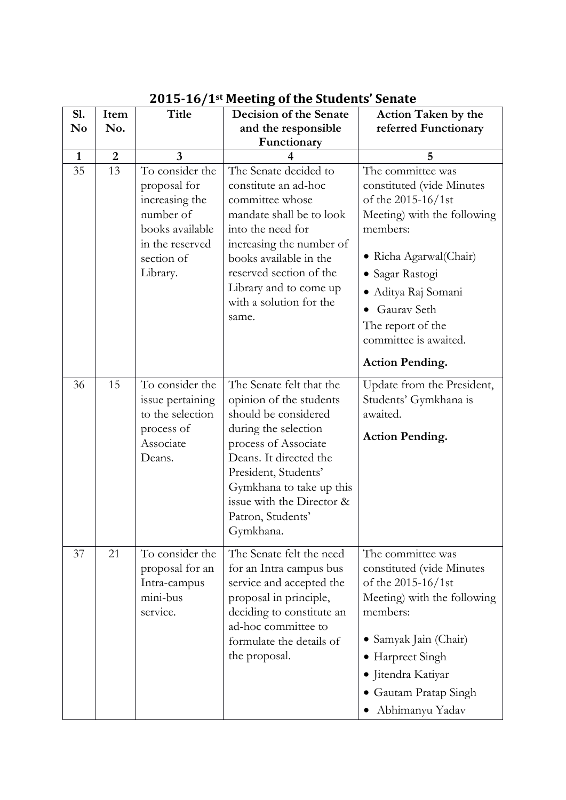| S1.            | Item           | <b>Title</b>                                                                                                                   | Decision of the Senate                                                                                                                                                                                                                                                   | <b>Action Taken by the</b>                                                                                                                                                                                                                                      |
|----------------|----------------|--------------------------------------------------------------------------------------------------------------------------------|--------------------------------------------------------------------------------------------------------------------------------------------------------------------------------------------------------------------------------------------------------------------------|-----------------------------------------------------------------------------------------------------------------------------------------------------------------------------------------------------------------------------------------------------------------|
| N <sub>0</sub> | No.            |                                                                                                                                | and the responsible<br>Functionary                                                                                                                                                                                                                                       | referred Functionary                                                                                                                                                                                                                                            |
| $\mathbf{1}$   | $\overline{2}$ | $\overline{3}$                                                                                                                 |                                                                                                                                                                                                                                                                          | 5                                                                                                                                                                                                                                                               |
| 35             | 13             | To consider the<br>proposal for<br>increasing the<br>number of<br>books available<br>in the reserved<br>section of<br>Library. | The Senate decided to<br>constitute an ad-hoc<br>committee whose<br>mandate shall be to look<br>into the need for<br>increasing the number of<br>books available in the<br>reserved section of the<br>Library and to come up<br>with a solution for the<br>same.         | The committee was<br>constituted (vide Minutes<br>of the 2015-16/1st<br>Meeting) with the following<br>members:<br>• Richa Agarwal (Chair)<br>· Sagar Rastogi<br>Aditya Raj Somani<br><b>Gauray Seth</b><br>The report of the<br>committee is awaited.          |
| 36             | 15             | To consider the<br>issue pertaining<br>to the selection<br>process of<br>Associate<br>Deans.                                   | The Senate felt that the<br>opinion of the students<br>should be considered<br>during the selection<br>process of Associate<br>Deans. It directed the<br>President, Students'<br>Gymkhana to take up this<br>issue with the Director &<br>Patron, Students'<br>Gymkhana. | <b>Action Pending.</b><br>Update from the President,<br>Students' Gymkhana is<br>awaited.<br><b>Action Pending.</b>                                                                                                                                             |
| 37             | 21             | To consider the<br>proposal for an<br>Intra-campus<br>mini-bus<br>service.                                                     | The Senate felt the need<br>for an Intra campus bus<br>service and accepted the<br>proposal in principle,<br>deciding to constitute an<br>ad-hoc committee to<br>formulate the details of<br>the proposal.                                                               | The committee was<br>constituted (vide Minutes<br>of the 2015-16/1st<br>Meeting) with the following<br>members:<br>Samyak Jain (Chair)<br>$\bullet$<br>Harpreet Singh<br>$\bullet$<br>• Jitendra Katiyar<br>Gautam Pratap Singh<br>$\bullet$<br>Abhimanyu Yadav |

#### **2015-16/1st Meeting of the Students' Senate**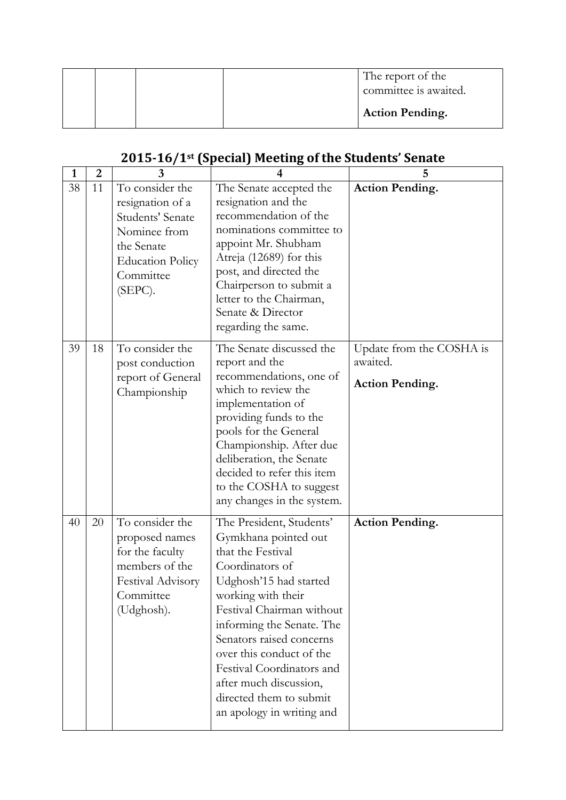|  |  | The report of the<br>committee is awaited. |
|--|--|--------------------------------------------|
|  |  | <b>Action Pending.</b>                     |

# **2015-16/1st (Special) Meeting of the Students' Senate**

| $\mathbf{1}$ | $\overline{2}$ | 3                                                                                                                                        | 4                                                                                                                                                                                                                                                                                                                                                                         | 5                                                              |
|--------------|----------------|------------------------------------------------------------------------------------------------------------------------------------------|---------------------------------------------------------------------------------------------------------------------------------------------------------------------------------------------------------------------------------------------------------------------------------------------------------------------------------------------------------------------------|----------------------------------------------------------------|
| 38           | 11             | To consider the<br>resignation of a<br>Students' Senate<br>Nominee from<br>the Senate<br><b>Education Policy</b><br>Committee<br>(SEPC). | The Senate accepted the<br>resignation and the<br>recommendation of the<br>nominations committee to<br>appoint Mr. Shubham<br>Atreja (12689) for this<br>post, and directed the<br>Chairperson to submit a<br>letter to the Chairman,<br>Senate & Director<br>regarding the same.                                                                                         | <b>Action Pending.</b>                                         |
| 39           | 18             | To consider the<br>post conduction<br>report of General<br>Championship                                                                  | The Senate discussed the<br>report and the<br>recommendations, one of<br>which to review the<br>implementation of<br>providing funds to the<br>pools for the General<br>Championship. After due<br>deliberation, the Senate<br>decided to refer this item<br>to the COSHA to suggest<br>any changes in the system.                                                        | Update from the COSHA is<br>awaited.<br><b>Action Pending.</b> |
| 40           | 20             | To consider the<br>proposed names<br>for the faculty<br>members of the<br>Festival Advisory<br>Committee<br>(Udghosh).                   | The President, Students'<br>Gymkhana pointed out<br>that the Festival<br>Coordinators of<br>Udghosh'15 had started<br>working with their<br>Festival Chairman without<br>informing the Senate. The<br>Senators raised concerns<br>over this conduct of the<br>Festival Coordinators and<br>after much discussion,<br>directed them to submit<br>an apology in writing and | <b>Action Pending.</b>                                         |